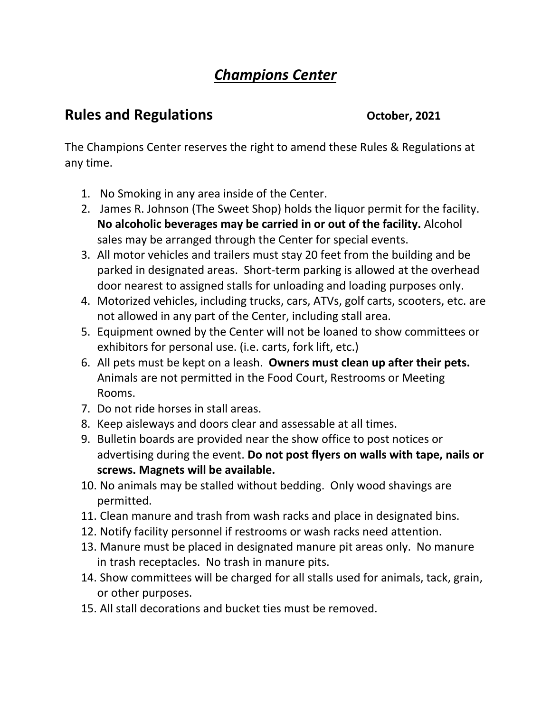## *Champions Center*

## **Rules and Regulations** *October, 2021*

The Champions Center reserves the right to amend these Rules & Regulations at any time.

- 1. No Smoking in any area inside of the Center.
- 2. James R. Johnson (The Sweet Shop) holds the liquor permit for the facility. **No alcoholic beverages may be carried in or out of the facility.** Alcohol sales may be arranged through the Center for special events.
- 3. All motor vehicles and trailers must stay 20 feet from the building and be parked in designated areas. Short-term parking is allowed at the overhead door nearest to assigned stalls for unloading and loading purposes only.
- 4. Motorized vehicles, including trucks, cars, ATVs, golf carts, scooters, etc. are not allowed in any part of the Center, including stall area.
- 5. Equipment owned by the Center will not be loaned to show committees or exhibitors for personal use. (i.e. carts, fork lift, etc.)
- 6. All pets must be kept on a leash. **Owners must clean up after their pets.** Animals are not permitted in the Food Court, Restrooms or Meeting Rooms.
- 7. Do not ride horses in stall areas.
- 8. Keep aisleways and doors clear and assessable at all times.
- 9. Bulletin boards are provided near the show office to post notices or advertising during the event. **Do not post flyers on walls with tape, nails or screws. Magnets will be available.**
- 10. No animals may be stalled without bedding. Only wood shavings are permitted.
- 11. Clean manure and trash from wash racks and place in designated bins.
- 12. Notify facility personnel if restrooms or wash racks need attention.
- 13. Manure must be placed in designated manure pit areas only. No manure in trash receptacles. No trash in manure pits.
- 14. Show committees will be charged for all stalls used for animals, tack, grain, or other purposes.
- 15. All stall decorations and bucket ties must be removed.